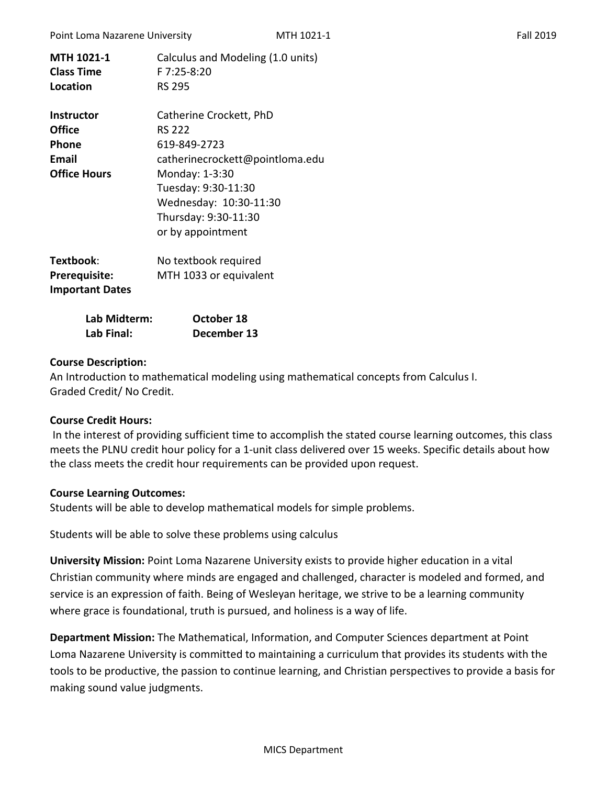| <b>MTH 1021-1</b><br><b>Class Time</b><br>Location | Calculus and Modeling (1.0 units)<br>F 7:25-8:20<br><b>RS 295</b> |
|----------------------------------------------------|-------------------------------------------------------------------|
| <b>Instructor</b>                                  | Catherine Crockett, PhD                                           |
| Office                                             | <b>RS 222</b>                                                     |
| Phone                                              | 619-849-2723                                                      |
| Email                                              | catherinecrockett@pointloma.edu                                   |
| <b>Office Hours</b>                                | Monday: 1-3:30                                                    |
|                                                    | Tuesday: 9:30-11:30                                               |
|                                                    | Wednesday: 10:30-11:30                                            |
|                                                    | Thursday: 9:30-11:30                                              |
|                                                    | or by appointment                                                 |
| Textbook:                                          | No textbook required                                              |
| Prerequisite:<br><b>Important Dates</b>            | MTH 1033 or equivalent                                            |
|                                                    |                                                                   |

| Lab Midterm: | October 18  |
|--------------|-------------|
| Lab Final:   | December 13 |

### **Course Description:**

An Introduction to mathematical modeling using mathematical concepts from Calculus I. Graded Credit/ No Credit.

#### **Course Credit Hours:**

In the interest of providing sufficient time to accomplish the stated course learning outcomes, this class meets the PLNU credit hour policy for a 1-unit class delivered over 15 weeks. Specific details about how the class meets the credit hour requirements can be provided upon request.

#### **Course Learning Outcomes:**

Students will be able to develop mathematical models for simple problems.

Students will be able to solve these problems using calculus

**University Mission:** Point Loma Nazarene University exists to provide higher education in a vital Christian community where minds are engaged and challenged, character is modeled and formed, and service is an expression of faith. Being of Wesleyan heritage, we strive to be a learning community where grace is foundational, truth is pursued, and holiness is a way of life.

**Department Mission:** The Mathematical, Information, and Computer Sciences department at Point Loma Nazarene University is committed to maintaining a curriculum that provides its students with the tools to be productive, the passion to continue learning, and Christian perspectives to provide a basis for making sound value judgments.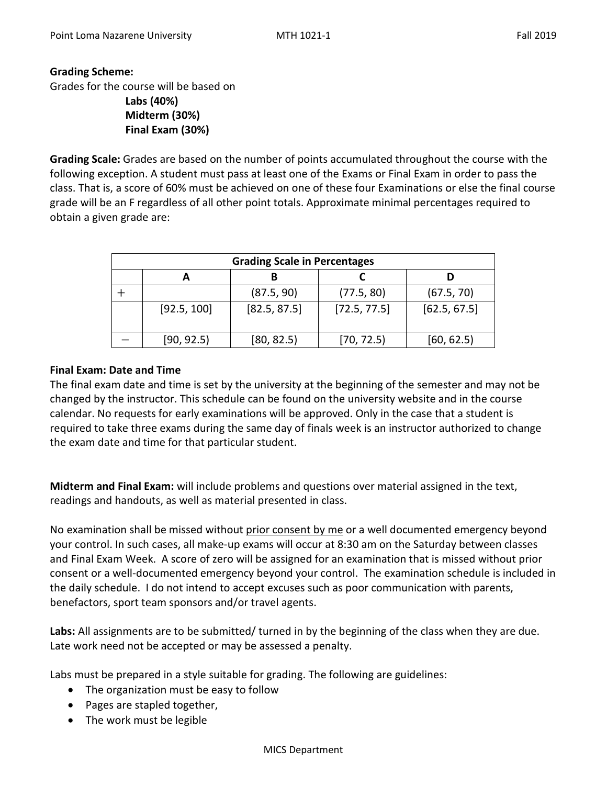## **Grading Scheme:**

Grades for the course will be based on

**Labs (40%) Midterm (30%) Final Exam (30%)**

**Grading Scale:** Grades are based on the number of points accumulated throughout the course with the following exception. A student must pass at least one of the Exams or Final Exam in order to pass the class. That is, a score of 60% must be achieved on one of these four Examinations or else the final course grade will be an F regardless of all other point totals. Approximate minimal percentages required to obtain a given grade are:

| <b>Grading Scale in Percentages</b> |             |              |              |              |  |  |  |  |
|-------------------------------------|-------------|--------------|--------------|--------------|--|--|--|--|
|                                     |             |              |              |              |  |  |  |  |
|                                     |             | (87.5, 90)   | (77.5, 80)   | (67.5, 70)   |  |  |  |  |
|                                     | [92.5, 100] | [82.5, 87.5] | [72.5, 77.5] | [62.5, 67.5] |  |  |  |  |
|                                     | [90, 92.5]  | [80, 82.5]   | [70, 72.5]   | [60, 62.5]   |  |  |  |  |

## **Final Exam: Date and Time**

The final exam date and time is set by the university at the beginning of the semester and may not be changed by the instructor. This schedule can be found on the university website and in the course calendar. No requests for early examinations will be approved. Only in the case that a student is required to take three exams during the same day of finals week is an instructor authorized to change the exam date and time for that particular student.

**Midterm and Final Exam:** will include problems and questions over material assigned in the text, readings and handouts, as well as material presented in class.

No examination shall be missed without prior consent by me or a well documented emergency beyond your control. In such cases, all make-up exams will occur at 8:30 am on the Saturday between classes and Final Exam Week. A score of zero will be assigned for an examination that is missed without prior consent or a well-documented emergency beyond your control. The examination schedule is included in the daily schedule. I do not intend to accept excuses such as poor communication with parents, benefactors, sport team sponsors and/or travel agents.

**Labs:** All assignments are to be submitted/ turned in by the beginning of the class when they are due. Late work need not be accepted or may be assessed a penalty.

Labs must be prepared in a style suitable for grading. The following are guidelines:

- The organization must be easy to follow
- Pages are stapled together,
- The work must be legible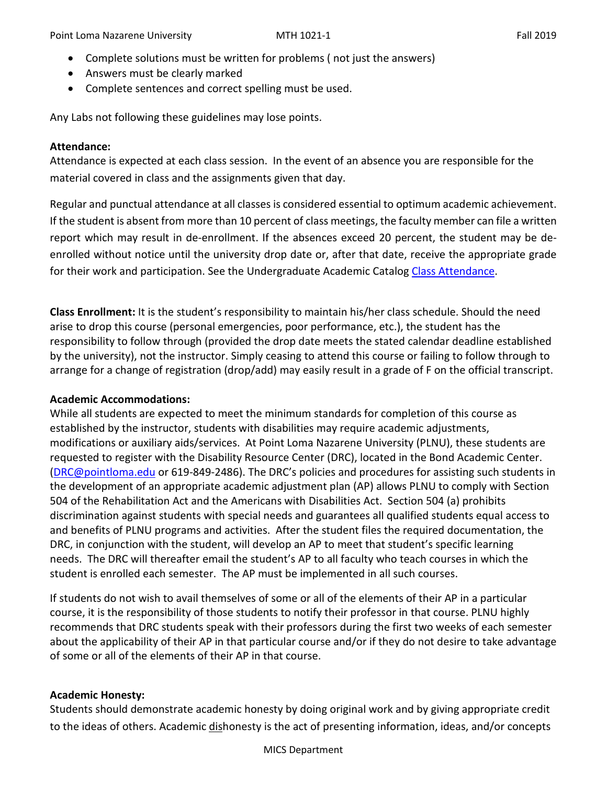- Complete solutions must be written for problems ( not just the answers)
- Answers must be clearly marked
- Complete sentences and correct spelling must be used.

Any Labs not following these guidelines may lose points.

## **Attendance:**

Attendance is expected at each class session. In the event of an absence you are responsible for the material covered in class and the assignments given that day.

Regular and punctual attendance at all classes is considered essential to optimum academic achievement. If the student is absent from more than 10 percent of class meetings, the faculty member can file a written report which may result in de-enrollment. If the absences exceed 20 percent, the student may be deenrolled without notice until the university drop date or, after that date, receive the appropriate grade for their work and participation. See the Undergraduate Academic Catalog [Class Attendance.](https://catalog.pointloma.edu/content.php?catoid=35&navoid=2136#Class_Attendance)

**Class Enrollment:** It is the student's responsibility to maintain his/her class schedule. Should the need arise to drop this course (personal emergencies, poor performance, etc.), the student has the responsibility to follow through (provided the drop date meets the stated calendar deadline established by the university), not the instructor. Simply ceasing to attend this course or failing to follow through to arrange for a change of registration (drop/add) may easily result in a grade of F on the official transcript.

## **Academic Accommodations:**

While all students are expected to meet the minimum standards for completion of this course as established by the instructor, students with disabilities may require academic adjustments, modifications or auxiliary aids/services. At Point Loma Nazarene University (PLNU), these students are requested to register with the Disability Resource Center (DRC), located in the Bond Academic Center. [\(DRC@pointloma.edu](mailto:DRC@pointloma.edu) or 619-849-2486). The DRC's policies and procedures for assisting such students in the development of an appropriate academic adjustment plan (AP) allows PLNU to comply with Section 504 of the Rehabilitation Act and the Americans with Disabilities Act. Section 504 (a) prohibits discrimination against students with special needs and guarantees all qualified students equal access to and benefits of PLNU programs and activities. After the student files the required documentation, the DRC, in conjunction with the student, will develop an AP to meet that student's specific learning needs. The DRC will thereafter email the student's AP to all faculty who teach courses in which the student is enrolled each semester. The AP must be implemented in all such courses.

If students do not wish to avail themselves of some or all of the elements of their AP in a particular course, it is the responsibility of those students to notify their professor in that course. PLNU highly recommends that DRC students speak with their professors during the first two weeks of each semester about the applicability of their AP in that particular course and/or if they do not desire to take advantage of some or all of the elements of their AP in that course.

# **Academic Honesty:**

Students should demonstrate academic honesty by doing original work and by giving appropriate credit to the ideas of others. Academic dishonesty is the act of presenting information, ideas, and/or concepts